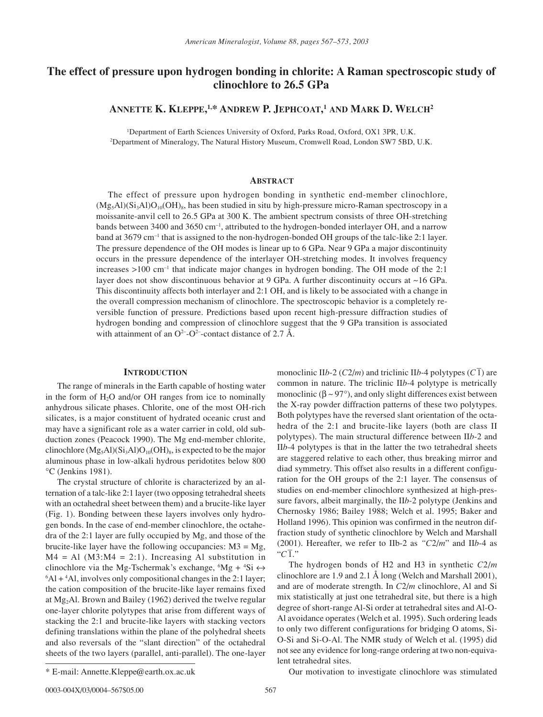# **The effect of pressure upon hydrogen bonding in chlorite: A Raman spectroscopic study of clinochlore to 26.5 GPa**

**ANNETTE K. KLEPPE, 1,\* ANDREW P. JEPHCOAT, <sup>1</sup> AND MARK D. WELCH2**

1 Department of Earth Sciences University of Oxford, Parks Road, Oxford, OX1 3PR, U.K. 2 Department of Mineralogy, The Natural History Museum, Cromwell Road, London SW7 5BD, U.K.

# **ABSTRACT**

The effect of pressure upon hydrogen bonding in synthetic end-member clinochlore,  $(Mg_5A I)(Si_3A I)O_{10}(OH)_{8}$ , has been studied in situ by high-pressure micro-Raman spectroscopy in a moissanite-anvil cell to 26.5 GPa at 300 K. The ambient spectrum consists of three OH-stretching bands between 3400 and 3650 cm–1, attributed to the hydrogen-bonded interlayer OH, and a narrow band at 3679 cm<sup>-1</sup> that is assigned to the non-hydrogen-bonded OH groups of the talc-like 2:1 layer. The pressure dependence of the OH modes is linear up to 6 GPa. Near 9 GPa a major discontinuity occurs in the pressure dependence of the interlayer OH-stretching modes. It involves frequency increases  $>100$  cm<sup>-1</sup> that indicate major changes in hydrogen bonding. The OH mode of the 2:1 layer does not show discontinuous behavior at 9 GPa. A further discontinuity occurs at ~16 GPa. This discontinuity affects both interlayer and 2:1 OH, and is likely to be associated with a change in the overall compression mechanism of clinochlore. The spectroscopic behavior is a completely reversible function of pressure. Predictions based upon recent high-pressure diffraction studies of hydrogen bonding and compression of clinochlore suggest that the 9 GPa transition is associated with attainment of an  $O^{2-}O^{2-}$ -contact distance of 2.7 Å.

## **INTRODUCTION**

The range of minerals in the Earth capable of hosting water in the form of  $H_2O$  and/or OH ranges from ice to nominally anhydrous silicate phases. Chlorite, one of the most OH-rich silicates, is a major constituent of hydrated oceanic crust and may have a significant role as a water carrier in cold, old subduction zones (Peacock 1990). The Mg end-member chlorite, clinochlore  $(Mg_5Al)(Si_3Al)O_{10}(OH)_8$ , is expected to be the major aluminous phase in low-alkali hydrous peridotites below 800 ∞C (Jenkins 1981).

The crystal structure of chlorite is characterized by an alternation of a talc-like 2:1 layer (two opposing tetrahedral sheets with an octahedral sheet between them) and a brucite-like layer (Fig. 1). Bonding between these layers involves only hydrogen bonds. In the case of end-member clinochlore, the octahedra of the 2:1 layer are fully occupied by Mg, and those of the brucite-like layer have the following occupancies:  $M3 = Mg$ ,  $M4 = Al$  ( $M3:M4 = 2:1$ ). Increasing Al substitution in clinochlore via the Mg-Tschermak's exchange,  ${}^6Mg + {}^4Si \leftrightarrow$ 6 Al + 4 Al, involves only compositional changes in the 2:1 layer; the cation composition of the brucite-like layer remains fixed at Mg2Al. Brown and Bailey (1962) derived the twelve regular one-layer chlorite polytypes that arise from different ways of stacking the 2:1 and brucite-like layers with stacking vectors defining translations within the plane of the polyhedral sheets and also reversals of the "slant direction" of the octahedral sheets of the two layers (parallel, anti-parallel). The one-layer

monoclinic II*b*-2 ( $C2/m$ ) and triclinic II*b*-4 polytypes ( $C\overline{1}$ ) are common in nature. The triclinic II*b*-4 polytype is metrically monoclinic ( $\beta \sim 97^{\circ}$ ), and only slight differences exist between the X-ray powder diffraction patterns of these two polytypes. Both polytypes have the reversed slant orientation of the octahedra of the 2:1 and brucite-like layers (both are class II polytypes). The main structural difference between II*b*-2 and II*b*-4 polytypes is that in the latter the two tetrahedral sheets are staggered relative to each other, thus breaking mirror and diad symmetry. This offset also results in a different configuration for the OH groups of the 2:1 layer. The consensus of studies on end-member clinochlore synthesized at high-pressure favors, albeit marginally, the II*b*-2 polytype (Jenkins and Chernosky 1986; Bailey 1988; Welch et al. 1995; Baker and Holland 1996). This opinion was confirmed in the neutron diffraction study of synthetic clinochlore by Welch and Marshall (2001). Hereafter, we refer to IIb-2 as *"C*2/*m*" and II*b*-4 as  $C_{\overline{1}}^{\text{1}}$ 

The hydrogen bonds of H2 and H3 in synthetic *C*2/*m* clinochlore are 1.9 and 2.1 Å long (Welch and Marshall 2001), and are of moderate strength. In *C*2/*m* clinochlore, Al and Si mix statistically at just one tetrahedral site, but there is a high degree of short-range Al-Si order at tetrahedral sites and Al-O-Al avoidance operates (Welch et al. 1995). Such ordering leads to only two different configurations for bridging O atoms, Si-O-Si and Si-O-Al. The NMR study of Welch et al. (1995) did not see any evidence for long-range ordering at two non-equivalent tetrahedral sites.

0003-004X/03/0004-567\$05.00 567

Our motivation to investigate clinochlore was stimulated

<sup>\*</sup> E-mail: Annette.Kleppe@earth.ox.ac.uk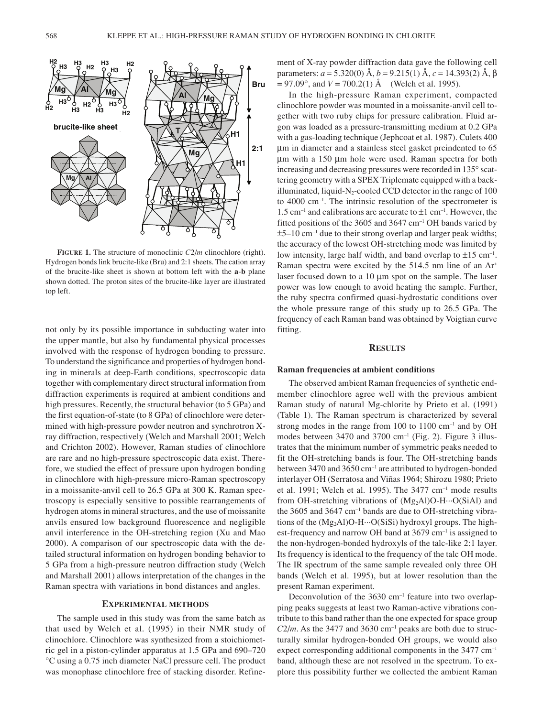

**FIGURE 1.** The structure of monoclinic *C*2/*m* clinochlore (right). Hydrogen bonds link brucite-like (Bru) and 2:1 sheets. The cation array of the brucite-like sheet is shown at bottom left with the **a**-**b** plane shown dotted. The proton sites of the brucite-like layer are illustrated top left.

not only by its possible importance in subducting water into the upper mantle, but also by fundamental physical processes involved with the response of hydrogen bonding to pressure. To understand the significance and properties of hydrogen bonding in minerals at deep-Earth conditions, spectroscopic data together with complementary direct structural information from diffraction experiments is required at ambient conditions and high pressures. Recently, the structural behavior (to 5 GPa) and the first equation-of-state (to 8 GPa) of clinochlore were determined with high-pressure powder neutron and synchrotron Xray diffraction, respectively (Welch and Marshall 2001; Welch and Crichton 2002). However, Raman studies of clinochlore are rare and no high-pressure spectroscopic data exist. Therefore, we studied the effect of pressure upon hydrogen bonding in clinochlore with high-pressure micro-Raman spectroscopy in a moissanite-anvil cell to 26.5 GPa at 300 K. Raman spectroscopy is especially sensitive to possible rearrangements of hydrogen atoms in mineral structures, and the use of moissanite anvils ensured low background fluorescence and negligible anvil interference in the OH-stretching region (Xu and Mao 2000). A comparison of our spectroscopic data with the detailed structural information on hydrogen bonding behavior to 5 GPa from a high-pressure neutron diffraction study (Welch and Marshall 2001) allows interpretation of the changes in the Raman spectra with variations in bond distances and angles.

## **EXPERIMENTAL METHODS**

The sample used in this study was from the same batch as that used by Welch et al. (1995) in their NMR study of clinochlore. Clinochlore was synthesized from a stoichiometric gel in a piston-cylinder apparatus at 1.5 GPa and 690–720 ∞C using a 0.75 inch diameter NaCl pressure cell. The product was monophase clinochlore free of stacking disorder. Refinement of X-ray powder diffraction data gave the following cell parameters: *a* = 5.320(0) Å, *b* = 9.215(1) Å, *c* = 14.393(2) Å, b *3* = 97.09∞, and *V* = 700.2(1) Å (Welch et al. 1995).

In the high-pressure Raman experiment, compacted clinochlore powder was mounted in a moissanite-anvil cell together with two ruby chips for pressure calibration. Fluid argon was loaded as a pressure-transmitting medium at 0.2 GPa with a gas-loading technique (Jephcoat et al. 1987). Culets 400 mm in diameter and a stainless steel gasket preindented to 65  $\mu$ m with a 150  $\mu$ m hole were used. Raman spectra for both increasing and decreasing pressures were recorded in 135° scattering geometry with a SPEX Triplemate equipped with a backilluminated, liquid-N<sub>2</sub>-cooled CCD detector in the range of  $100$ to 4000 cm–1. The intrinsic resolution of the spectrometer is 1.5 cm<sup>-1</sup> and calibrations are accurate to  $\pm 1$  cm<sup>-1</sup>. However, the fitted positions of the 3605 and 3647 cm–1 OH bands varied by  $\pm$ 5–10 cm<sup>-1</sup> due to their strong overlap and larger peak widths; the accuracy of the lowest OH-stretching mode was limited by low intensity, large half width, and band overlap to  $\pm 15$  cm<sup>-1</sup>. Raman spectra were excited by the 514.5 nm line of an Ar+ laser focused down to a  $10 \mu m$  spot on the sample. The laser power was low enough to avoid heating the sample. Further, the ruby spectra confirmed quasi-hydrostatic conditions over the whole pressure range of this study up to 26.5 GPa. The frequency of each Raman band was obtained by Voigtian curve fitting.

## **RESULTS**

#### **Raman frequencies at ambient conditions**

The observed ambient Raman frequencies of synthetic endmember clinochlore agree well with the previous ambient Raman study of natural Mg-chlorite by Prieto et al. (1991) (Table 1). The Raman spectrum is characterized by several strong modes in the range from 100 to 1100 cm<sup>-1</sup> and by OH modes between  $3470$  and  $3700$  cm<sup>-1</sup> (Fig. 2). Figure 3 illustrates that the minimum number of symmetric peaks needed to fit the OH-stretching bands is four. The OH-stretching bands between 3470 and 3650 cm–1 are attributed to hydrogen-bonded interlayer OH (Serratosa and Viñas 1964; Shirozu 1980; Prieto et al. 1991; Welch et al. 1995). The 3477 cm–1 mode results from OH-stretching vibrations of  $(Mg_2Al)O-H \cdots O(SiAl)$  and the 3605 and 3647  $cm^{-1}$  bands are due to OH-stretching vibrations of the  $(Mg_2Al)O-H...O(SiSi)$  hydroxyl groups. The highest-frequency and narrow OH band at 3679 cm<sup>-1</sup> is assigned to the non-hydrogen-bonded hydroxyls of the talc-like 2:1 layer. Its frequency is identical to the frequency of the talc OH mode. The IR spectrum of the same sample revealed only three OH bands (Welch et al. 1995), but at lower resolution than the present Raman experiment.

Deconvolution of the  $3630 \text{ cm}^{-1}$  feature into two overlapping peaks suggests at least two Raman-active vibrations contribute to this band rather than the one expected for space group  $C2/m$ . As the 3477 and 3630 cm<sup>-1</sup> peaks are both due to structurally similar hydrogen-bonded OH groups, we would also expect corresponding additional components in the 3477 cm–1 band, although these are not resolved in the spectrum. To explore this possibility further we collected the ambient Raman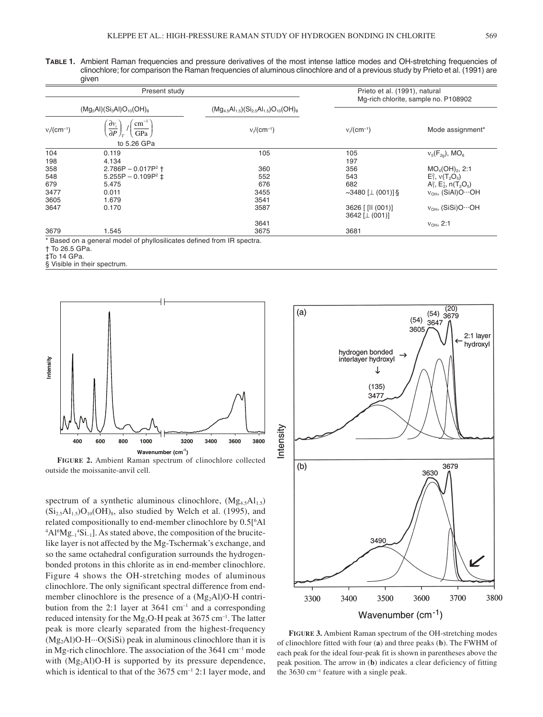**TABLE 1.** Ambient Raman frequencies and pressure derivatives of the most intense lattice modes and OH-stretching frequencies of clinochlore; for comparison the Raman frequencies of aluminous clinochlore and of a previous study by Prieto et al. (1991) are given

| Present study              |                                                              |                                                      | Prieto et al. (1991), natural<br>Mg-rich chlorite, sample no. P108902 |                                                       |
|----------------------------|--------------------------------------------------------------|------------------------------------------------------|-----------------------------------------------------------------------|-------------------------------------------------------|
| $(Mg5Al)(Si3Al)O10(OH)8$   |                                                              | $(Mg_{4.5}Al_{1.5})(Si_{2.5}Al_{1.5})O_{10}(OH)_{8}$ |                                                                       |                                                       |
| $v_i$ /(cm <sup>-1</sup> ) | $\text{cm}^{-1}$<br>$\frac{\partial v_i}{\partial P}$<br>GPa | $v_i$ /(cm <sup>-1</sup> )                           | $v_i$ /(cm <sup>-1</sup> )                                            | Mode assignment*                                      |
|                            | to 5.26 GPa                                                  |                                                      |                                                                       |                                                       |
| 104                        | 0.119                                                        | 105                                                  | 105                                                                   | $v_5(F_{20})$ , MO <sub>6</sub>                       |
| 198                        | 4.134                                                        |                                                      | 197                                                                   |                                                       |
| 358                        | $2.786P - 0.017P^2$ †                                        | 360                                                  | 356                                                                   | $MO_4(OH)_2$ , 2:1                                    |
| 548                        | 5.255P - 0.109P <sup>2</sup> $\pm$                           | 552                                                  | 543                                                                   | $E_1^2$ , $v(T_2O_5)$                                 |
| 679                        | 5.475                                                        | 676                                                  | 682                                                                   | $A_1^2$ , $E_2^1$ , n(T <sub>2</sub> O <sub>5</sub> ) |
| 3477                       | 0.011                                                        | 3455                                                 | $\sim$ 3480 [ $\perp$ (001)] §                                        | $v_{OH}$ , (SiAl)O $\cdots$ OH                        |
| 3605                       | 1.679                                                        | 3541                                                 |                                                                       |                                                       |
| 3647                       | 0.170                                                        | 3587                                                 | 3626 [ [II (001)]<br>3642 [ $\perp$ (001)]                            | $v_{OH}$ , (SiSi)O $\cdots$ OH                        |
|                            |                                                              | 3641                                                 |                                                                       | $v_{OH}$ , 2:1                                        |
| 3679                       | 1.545                                                        | 3675                                                 | 3681                                                                  |                                                       |

cates defined from IR spectra.

† To 26.5 GPa.

‡To 14 GPa.

§ Visible in their spectrum.



**FIGURE 2.** Ambient Raman spectrum of clinochlore collected outside the moissanite-anvil cell.

spectrum of a synthetic aluminous clinochlore,  $(Mg<sub>4.5</sub>Al<sub>1.5</sub>)$  $(Si<sub>2.5</sub>Al<sub>1.5</sub>)O<sub>10</sub>(OH)<sub>8</sub>$ , also studied by Welch et al. (1995), and related compositionally to end-member clinochlore by 0.5[6 Al  ${}^{4}Al^{6}Mg_{-1}{}^{4}Si_{-1}$ ]. As stated above, the composition of the brucitelike layer is not affected by the Mg-Tschermak's exchange, and so the same octahedral configuration surrounds the hydrogenbonded protons in this chlorite as in end-member clinochlore. Figure 4 shows the OH-stretching modes of aluminous clinochlore. The only significant spectral difference from endmember clinochlore is the presence of a  $(Mg_2Al)O-H$  contribution from the 2:1 layer at  $3641 \text{ cm}^{-1}$  and a corresponding reduced intensity for the Mg<sub>3</sub>O-H peak at  $3675 \text{ cm}^{-1}$ . The latter peak is more clearly separated from the highest-frequency  $(Mg<sub>2</sub>AI)O-H...O(SiSi)$  peak in aluminous clinochlore than it is in Mg-rich clinochlore. The association of the  $3641 \text{ cm}^{-1}$  mode with  $(Mg<sub>2</sub>AI)O-H$  is supported by its pressure dependence, which is identical to that of the 3675 cm<sup>-1</sup> 2:1 layer mode, and



**FIGURE 3.** Ambient Raman spectrum of the OH-stretching modes of clinochlore fitted with four (**a**) and three peaks (**b**). The FWHM of each peak for the ideal four-peak fit is shown in parentheses above the peak position. The arrow in (**b**) indicates a clear deficiency of fitting the 3630 cm<sup>-1</sup> feature with a single peak.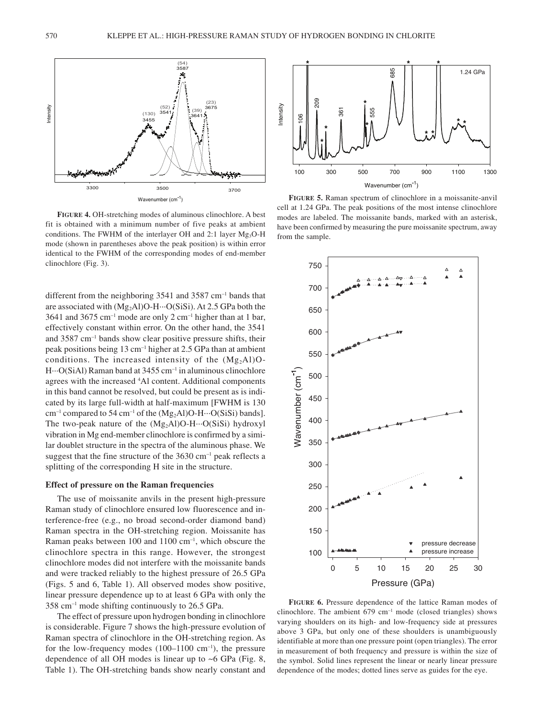

**FIGURE 4.** OH-stretching modes of aluminous clinochlore. A best fit is obtained with a minimum number of five peaks at ambient conditions. The FWHM of the interlayer OH and 2:1 layer  $Mg_3O-H$ mode (shown in parentheses above the peak position) is within error identical to the FWHM of the corresponding modes of end-member clinochlore (Fig. 3).

different from the neighboring 3541 and 3587 cm<sup>-1</sup> bands that are associated with  $(Mg_2Al)O-H...O(SiSi)$ . At 2.5 GPa both the 3641 and 3675 cm<sup>-1</sup> mode are only 2 cm<sup>-1</sup> higher than at 1 bar, effectively constant within error. On the other hand, the 3541 and 3587 cm–1 bands show clear positive pressure shifts, their peak positions being 13 cm–1 higher at 2.5 GPa than at ambient conditions. The increased intensity of the  $(Mg<sub>2</sub>AI)O H \cdots O(SiA)$  Raman band at 3455 cm<sup>-1</sup> in aluminous clinochlore agrees with the increased 4 Al content. Additional components in this band cannot be resolved, but could be present as is indicated by its large full-width at half-maximum [FWHM is 130  $cm^{-1}$  compared to 54 cm<sup>-1</sup> of the  $(Mg_2Al)O-H\cdots O(SiSi)$  bands]. The two-peak nature of the  $(Mg_2A1)O-H...O(SiSi)$  hydroxyl vibration in Mg end-member clinochlore is confirmed by a similar doublet structure in the spectra of the aluminous phase. We suggest that the fine structure of the  $3630 \text{ cm}^{-1}$  peak reflects a splitting of the corresponding H site in the structure.

## **Effect of pressure on the Raman frequencies**

The use of moissanite anvils in the present high-pressure Raman study of clinochlore ensured low fluorescence and interference-free (e.g., no broad second-order diamond band) Raman spectra in the OH-stretching region. Moissanite has Raman peaks between 100 and 1100 cm<sup>-1</sup>, which obscure the clinochlore spectra in this range. However, the strongest clinochlore modes did not interfere with the moissanite bands and were tracked reliably to the highest pressure of 26.5 GPa (Figs. 5 and 6, Table 1). All observed modes show positive, linear pressure dependence up to at least 6 GPa with only the 358 cm–1 mode shifting continuously to 26.5 GPa.

The effect of pressure upon hydrogen bonding in clinochlore is considerable. Figure 7 shows the high-pressure evolution of Raman spectra of clinochlore in the OH-stretching region. As for the low-frequency modes  $(100-1100 \text{ cm}^{-1})$ , the pressure dependence of all OH modes is linear up to  $\sim$  6 GPa (Fig. 8, Table 1). The OH-stretching bands show nearly constant and



**FIGURE 5.** Raman spectrum of clinochlore in a moissanite-anvil cell at 1.24 GPa. The peak positions of the most intense clinochlore modes are labeled. The moissanite bands, marked with an asterisk, have been confirmed by measuring the pure moissanite spectrum, away from the sample.



**FIGURE 6.** Pressure dependence of the lattice Raman modes of clinochlore. The ambient  $679 \text{ cm}^{-1}$  mode (closed triangles) shows varying shoulders on its high- and low-frequency side at pressures above 3 GPa, but only one of these shoulders is unambiguously identifiable at more than one pressure point (open triangles). The error in measurement of both frequency and pressure is within the size of the symbol. Solid lines represent the linear or nearly linear pressure dependence of the modes; dotted lines serve as guides for the eye.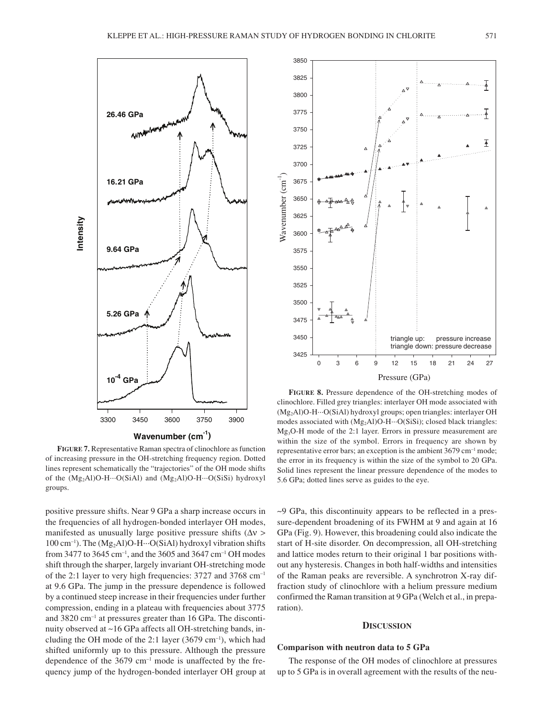

**FIGURE 7.** Representative Raman spectra of clinochlore as function of increasing pressure in the OH-stretching frequency region. Dotted lines represent schematically the "trajectories" of the OH mode shifts of the  $(Mg_2Al)O-H\cdots O(SiAl)$  and  $(Mg_2Al)O-H\cdots O(SiSi)$  hydroxyl groups.

positive pressure shifts. Near 9 GPa a sharp increase occurs in the frequencies of all hydrogen-bonded interlayer OH modes, manifested as unusually large positive pressure shifts  $(\Delta v >$  $100 \text{ cm}^{-1}$ ). The  $(Mg_2Al)O-H \cdots O(SiAl)$  hydroxyl vibration shifts from 3477 to 3645 cm<sup>-1</sup>, and the 3605 and 3647 cm<sup>-1</sup> OH modes shift through the sharper, largely invariant OH-stretching mode of the 2:1 layer to very high frequencies: 3727 and 3768 cm–1 at 9.6 GPa. The jump in the pressure dependence is followed by a continued steep increase in their frequencies under further compression, ending in a plateau with frequencies about 3775 and 3820 cm–1 at pressures greater than 16 GPa. The discontinuity observed at ~16 GPa affects all OH-stretching bands, including the OH mode of the 2:1 layer  $(3679 \text{ cm}^{-1})$ , which had shifted uniformly up to this pressure. Although the pressure dependence of the  $3679 \text{ cm}^{-1}$  mode is unaffected by the frequency jump of the hydrogen-bonded interlayer OH group at



**FIGURE 8.** Pressure dependence of the OH-stretching modes of clinochlore. Filled grey triangles: interlayer OH mode associated with (Mg2Al)O-H···O(SiAl) hydroxyl groups; open triangles: interlayer OH modes associated with  $(Mg_2Al)O-H\cdots O(SiSi)$ ; closed black triangles: Mg3O-H mode of the 2:1 layer. Errors in pressure measurement are within the size of the symbol. Errors in frequency are shown by representative error bars; an exception is the ambient 3679 cm–1 mode; the error in its frequency is within the size of the symbol to 20 GPa. Solid lines represent the linear pressure dependence of the modes to 5.6 GPa; dotted lines serve as guides to the eye.

~9 GPa, this discontinuity appears to be reflected in a pressure-dependent broadening of its FWHM at 9 and again at 16 GPa (Fig. 9). However, this broadening could also indicate the start of H-site disorder. On decompression, all OH-stretching and lattice modes return to their original 1 bar positions without any hysteresis. Changes in both half-widths and intensities of the Raman peaks are reversible. A synchrotron X-ray diffraction study of clinochlore with a helium pressure medium confirmed the Raman transition at 9 GPa (Welch et al., in preparation).

## **DISCUSSION**

## **Comparison with neutron data to 5 GPa**

The response of the OH modes of clinochlore at pressures up to 5 GPa is in overall agreement with the results of the neu-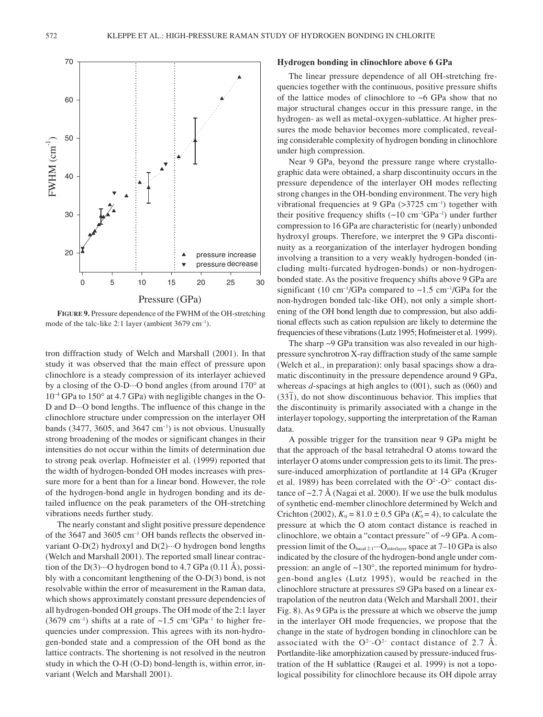

**FIGURE 9.** Pressure dependence of the FWHM of the OH-stretching mode of the talc-like 2:1 layer (ambient 3679 cm<sup>-1</sup>).

tron diffraction study of Welch and Marshall (2001). In that study it was observed that the main effect of pressure upon clinochlore is a steady compression of its interlayer achieved by a closing of the O-D···O bond angles (from around 170∞ at  $10^{-4}$  GPa to 150 $\degree$  at 4.7 GPa) with negligible changes in the O-D and D···O bond lengths. The influence of this change in the clinochlore structure under compression on the interlayer OH bands (3477, 3605, and 3647 cm<sup>-1</sup>) is not obvious. Unusually strong broadening of the modes or significant changes in their intensities do not occur within the limits of determination due to strong peak overlap. Hofmeister et al. (1999) reported that the width of hydrogen-bonded OH modes increases with pressure more for a bent than for a linear bond. However, the role of the hydrogen-bond angle in hydrogen bonding and its detailed influence on the peak parameters of the OH-stretching vibrations needs further study.

The nearly constant and slight positive pressure dependence of the 3647 and 3605 cm–1 OH bands reflects the observed invariant O-D(2) hydroxyl and D(2)···O hydrogen bond lengths (Welch and Marshall 2001). The reported small linear contraction of the D(3) $\cdots$ O hydrogen bond to 4.7 GPa (0.11 Å), possibly with a concomitant lengthening of the O-D(3) bond, is not resolvable within the error of measurement in the Raman data, which shows approximately constant pressure dependencies of all hydrogen-bonded OH groups. The OH mode of the 2:1 layer (3679 cm<sup>-1</sup>) shifts at a rate of  $\sim$ 1.5 cm<sup>-1</sup>GPa<sup>-1</sup> to higher frequencies under compression. This agrees with its non-hydrogen-bonded state and a compression of the OH bond as the lattice contracts. The shortening is not resolved in the neutron study in which the O-H (O-D) bond-length is, within error, invariant (Welch and Marshall 2001).

## **Hydrogen bonding in clinochlore above 6 GPa**

The linear pressure dependence of all OH-stretching frequencies together with the continuous, positive pressure shifts of the lattice modes of clinochlore to ~6 GPa show that no major structural changes occur in this pressure range, in the hydrogen- as well as metal-oxygen-sublattice. At higher pressures the mode behavior becomes more complicated, revealing considerable complexity of hydrogen bonding in clinochlore under high compression.

Near 9 GPa, beyond the pressure range where crystallographic data were obtained, a sharp discontinuity occurs in the pressure dependence of the interlayer OH modes reflecting strong changes in the OH-bonding environment. The very high vibrational frequencies at 9 GPa  $(>3725 \text{ cm}^{-1})$  together with their positive frequency shifts  $(\sim 10 \text{ cm}^{-1} \text{GPa}^{-1})$  under further compression to 16 GPa are characteristic for (nearly) unbonded hydroxyl groups. Therefore, we interpret the 9 GPa discontinuity as a reorganization of the interlayer hydrogen bonding involving a transition to a very weakly hydrogen-bonded (including multi-furcated hydrogen-bonds) or non-hydrogenbonded state. As the positive frequency shifts above 9 GPa are significant (10 cm<sup>-1</sup>/GPa compared to  $\sim$ 1.5 cm<sup>-1</sup>/GPa for the non-hydrogen bonded talc-like OH), not only a simple shortening of the OH bond length due to compression, but also additional effects such as cation repulsion are likely to determine the frequencies of these vibrations (Lutz 1995; Hofmeister et al. 1999).

The sharp ~9 GPa transition was also revealed in our highpressure synchrotron X-ray diffraction study of the same sample (Welch et al., in preparation): only basal spacings show a dramatic discontinuity in the pressure dependence around 9 GPa, whereas *d*-spacings at high angles to (001), such as (060) and (33 $\overline{1}$ ), do not show discontinuous behavior. This implies that the discontinuity is primarily associated with a change in the interlayer topology, supporting the interpretation of the Raman data.

A possible trigger for the transition near 9 GPa might be that the approach of the basal tetrahedral O atoms toward the interlayer O atoms under compression gets to its limit. The pressure-induced amorphization of portlandite at 14 GPa (Kruger et al. 1989) has been correlated with the  $O^{2-}O^{2-}$  contact distance of  $\sim$ 2.7 Å (Nagai et al. 2000). If we use the bulk modulus of synthetic end-member clinochlore determined by Welch and Crichton (2002),  $K_0 = 81.0 \pm 0.5$  GPa ( $K_0 = 4$ ), to calculate the pressure at which the O atom contact distance is reached in clinochlore, we obtain a "contact pressure" of ~9 GPa. A compression limit of the  $O_{basal 2:1} \cdots O_{interlayer}$  space at 7–10 GPa is also indicated by the closure of the hydrogen-bond angle under compression: an angle of ~130∞, the reported minimum for hydrogen-bond angles (Lutz 1995), would be reached in the clinochlore structure at pressures  $\leq$ 9 GPa based on a linear extrapolation of the neutron data (Welch and Marshall 2001, their Fig. 8). As 9 GPa is the pressure at which we observe the jump in the interlayer OH mode frequencies, we propose that the change in the state of hydrogen bonding in clinochlore can be associated with the  $O^{2-}$ - $O^{2-}$  contact distance of 2.7 Å. Portlandite-like amorphization caused by pressure-induced frustration of the H sublattice (Raugei et al. 1999) is not a topological possibility for clinochlore because its OH dipole array